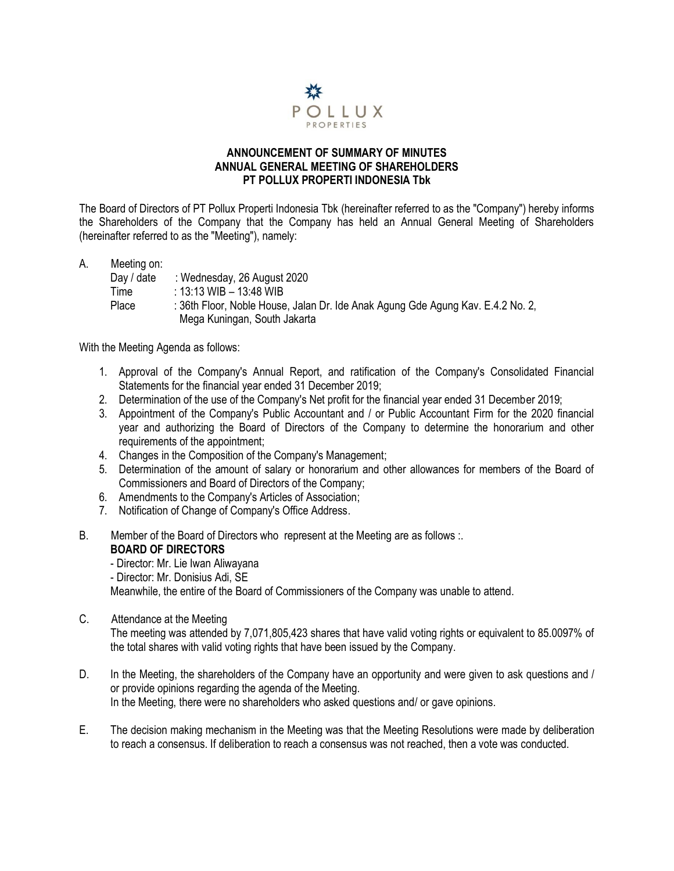

#### **ANNOUNCEMENT OF SUMMARY OF MINUTES ANNUAL GENERAL MEETING OF SHAREHOLDERS PT POLLUX PROPERTI INDONESIA Tbk**

The Board of Directors of PT Pollux Properti Indonesia Tbk (hereinafter referred to as the "Company") hereby informs the Shareholders of the Company that the Company has held an Annual General Meeting of Shareholders (hereinafter referred to as the "Meeting"), namely:

| A. | Meeting on: |                                                                                                                 |
|----|-------------|-----------------------------------------------------------------------------------------------------------------|
|    | Day / date  | : Wednesday, 26 August 2020                                                                                     |
|    | Time        | : 13:13 WIB - 13:48 WIB                                                                                         |
|    | Place       | : 36th Floor, Noble House, Jalan Dr. Ide Anak Agung Gde Agung Kav. E.4.2 No. 2,<br>Mega Kuningan, South Jakarta |

With the Meeting Agenda as follows:

- 1. Approval of the Company's Annual Report, and ratification of the Company's Consolidated Financial Statements for the financial year ended 31 December 2019;
- 2. Determination of the use of the Company's Net profit for the financial year ended 31 December 2019;
- 3. Appointment of the Company's Public Accountant and / or Public Accountant Firm for the 2020 financial year and authorizing the Board of Directors of the Company to determine the honorarium and other requirements of the appointment;
- 4. Changes in the Composition of the Company's Management;
- 5. Determination of the amount of salary or honorarium and other allowances for members of the Board of Commissioners and Board of Directors of the Company;
- 6. Amendments to the Company's Articles of Association;
- 7. Notification of Change of Company's Office Address.
- B. Member of the Board of Directors who represent at the Meeting are as follows :. **BOARD OF DIRECTORS**
	- Director: Mr. Lie Iwan Aliwayana
	- Director: Mr. Donisius Adi, SE

Meanwhile, the entire of the Board of Commissioners of the Company was unable to attend.

- C. Attendance at the Meeting The meeting was attended by 7,071,805,423 shares that have valid voting rights or equivalent to 85.0097% of the total shares with valid voting rights that have been issued by the Company.
- D. In the Meeting, the shareholders of the Company have an opportunity and were given to ask questions and / or provide opinions regarding the agenda of the Meeting. In the Meeting, there were no shareholders who asked questions and/ or gave opinions.
- E. The decision making mechanism in the Meeting was that the Meeting Resolutions were made by deliberation to reach a consensus. If deliberation to reach a consensus was not reached, then a vote was conducted.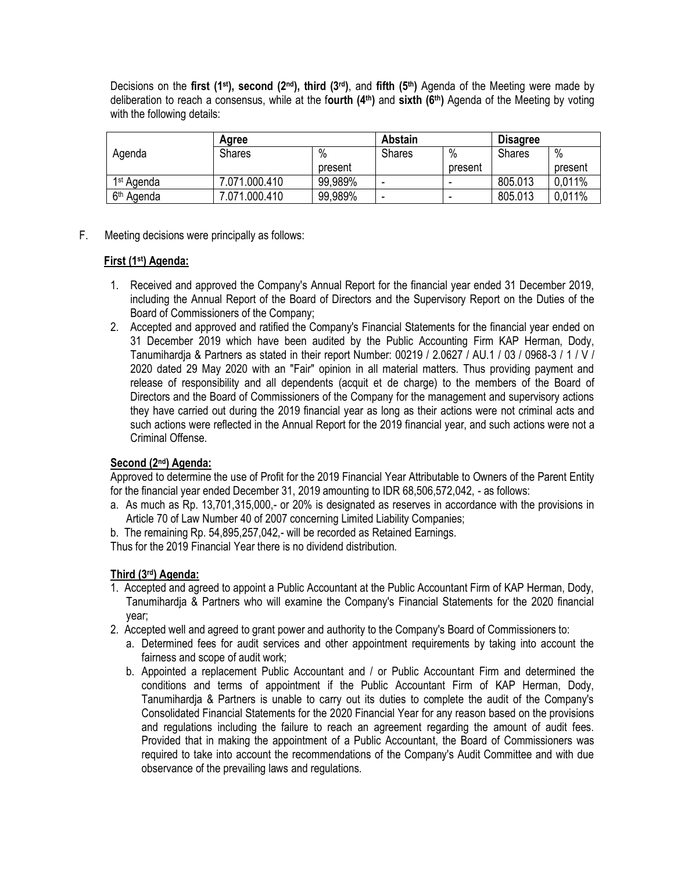Decisions on the **first (1st), second (2nd), third (3rd)**, and **fifth (5th)** Agenda of the Meeting were made by deliberation to reach a consensus, while at the f**ourth (4th)** and **sixth (6th)** Agenda of the Meeting by voting with the following details:

|                        | Aaree         |         | <b>Abstain</b> |         | <b>Disagree</b> |         |
|------------------------|---------------|---------|----------------|---------|-----------------|---------|
| Agenda                 | <b>Shares</b> | $\%$    | <b>Shares</b>  | $\%$    | <b>Shares</b>   | $\%$    |
|                        |               | present |                | present |                 | present |
| 1 <sup>st</sup> Agenda | 7.071.000.410 | 99,989% | -              | -       | 805.013         | 0.011%  |
| 6 <sup>th</sup> Agenda | 071.000.410   | 99,989% | ۰              | -       | 805.013         | 0,011%  |

F. Meeting decisions were principally as follows:

#### **First (1st) Agenda:**

- 1. Received and approved the Company's Annual Report for the financial year ended 31 December 2019, including the Annual Report of the Board of Directors and the Supervisory Report on the Duties of the Board of Commissioners of the Company;
- 2. Accepted and approved and ratified the Company's Financial Statements for the financial year ended on 31 December 2019 which have been audited by the Public Accounting Firm KAP Herman, Dody, Tanumihardja & Partners as stated in their report Number: 00219 / 2.0627 / AU.1 / 03 / 0968-3 / 1 / V / 2020 dated 29 May 2020 with an "Fair" opinion in all material matters. Thus providing payment and release of responsibility and all dependents (acquit et de charge) to the members of the Board of Directors and the Board of Commissioners of the Company for the management and supervisory actions they have carried out during the 2019 financial year as long as their actions were not criminal acts and such actions were reflected in the Annual Report for the 2019 financial year, and such actions were not a Criminal Offense.

#### **Second (2nd) Agenda:**

Approved to determine the use of Profit for the 2019 Financial Year Attributable to Owners of the Parent Entity for the financial year ended December 31, 2019 amounting to IDR 68,506,572,042, - as follows:

- a. As much as Rp. 13,701,315,000,- or 20% is designated as reserves in accordance with the provisions in Article 70 of Law Number 40 of 2007 concerning Limited Liability Companies;
- b. The remaining Rp. 54,895,257,042,- will be recorded as Retained Earnings.

Thus for the 2019 Financial Year there is no dividend distribution.

## **Third (3rd) Agenda:**

- 1. Accepted and agreed to appoint a Public Accountant at the Public Accountant Firm of KAP Herman, Dody, Tanumihardja & Partners who will examine the Company's Financial Statements for the 2020 financial year;
- 2. Accepted well and agreed to grant power and authority to the Company's Board of Commissioners to:
	- a. Determined fees for audit services and other appointment requirements by taking into account the fairness and scope of audit work;
	- b. Appointed a replacement Public Accountant and / or Public Accountant Firm and determined the conditions and terms of appointment if the Public Accountant Firm of KAP Herman, Dody, Tanumihardja & Partners is unable to carry out its duties to complete the audit of the Company's Consolidated Financial Statements for the 2020 Financial Year for any reason based on the provisions and regulations including the failure to reach an agreement regarding the amount of audit fees. Provided that in making the appointment of a Public Accountant, the Board of Commissioners was required to take into account the recommendations of the Company's Audit Committee and with due observance of the prevailing laws and regulations.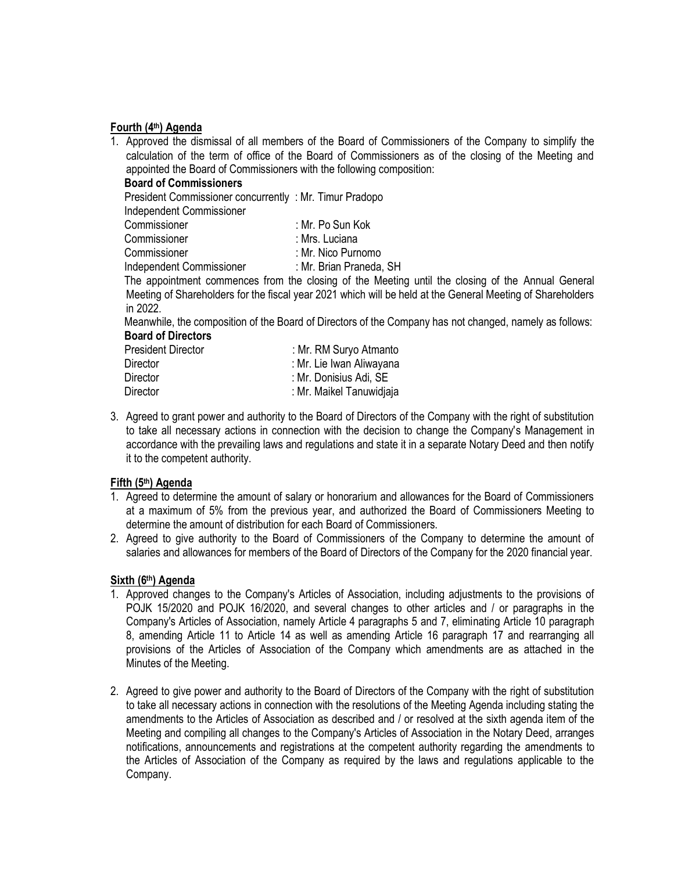#### **Fourth (4th) Agenda**

1. Approved the dismissal of all members of the Board of Commissioners of the Company to simplify the calculation of the term of office of the Board of Commissioners as of the closing of the Meeting and appointed the Board of Commissioners with the following composition:

#### **Board of Commissioners**

President Commissioner concurrently : Mr. Timur Pradopo

Independent Commissioner

| Commissioner             | : Mr. Po Sun Kok        |  |  |  |
|--------------------------|-------------------------|--|--|--|
| Commissioner             | : Mrs. Luciana          |  |  |  |
| Commissioner             | : Mr. Nico Purnomo      |  |  |  |
| Independent Commissioner | : Mr. Brian Praneda, SH |  |  |  |

 The appointment commences from the closing of the Meeting until the closing of the Annual General Meeting of Shareholders for the fiscal year 2021 which will be held at the General Meeting of Shareholders in 2022.

 Meanwhile, the composition of the Board of Directors of the Company has not changed, namely as follows: **Board of Directors**

| <b>President Director</b> | : Mr. RM Suryo Atmanto   |
|---------------------------|--------------------------|
| Director                  | : Mr. Lie Iwan Aliwayana |
| <b>Director</b>           | : Mr. Donisius Adi, SE   |
| <b>Director</b>           | : Mr. Maikel Tanuwidjaja |

3. Agreed to grant power and authority to the Board of Directors of the Company with the right of substitution to take all necessary actions in connection with the decision to change the Company's Management in accordance with the prevailing laws and regulations and state it in a separate Notary Deed and then notify it to the competent authority.

## **Fifth (5th) Agenda**

- 1. Agreed to determine the amount of salary or honorarium and allowances for the Board of Commissioners at a maximum of 5% from the previous year, and authorized the Board of Commissioners Meeting to determine the amount of distribution for each Board of Commissioners.
- 2. Agreed to give authority to the Board of Commissioners of the Company to determine the amount of salaries and allowances for members of the Board of Directors of the Company for the 2020 financial year.

## **Sixth (6th) Agenda**

- 1. Approved changes to the Company's Articles of Association, including adjustments to the provisions of POJK 15/2020 and POJK 16/2020, and several changes to other articles and / or paragraphs in the Company's Articles of Association, namely Article 4 paragraphs 5 and 7, eliminating Article 10 paragraph 8, amending Article 11 to Article 14 as well as amending Article 16 paragraph 17 and rearranging all provisions of the Articles of Association of the Company which amendments are as attached in the Minutes of the Meeting.
- 2. Agreed to give power and authority to the Board of Directors of the Company with the right of substitution to take all necessary actions in connection with the resolutions of the Meeting Agenda including stating the amendments to the Articles of Association as described and / or resolved at the sixth agenda item of the Meeting and compiling all changes to the Company's Articles of Association in the Notary Deed, arranges notifications, announcements and registrations at the competent authority regarding the amendments to the Articles of Association of the Company as required by the laws and regulations applicable to the Company.